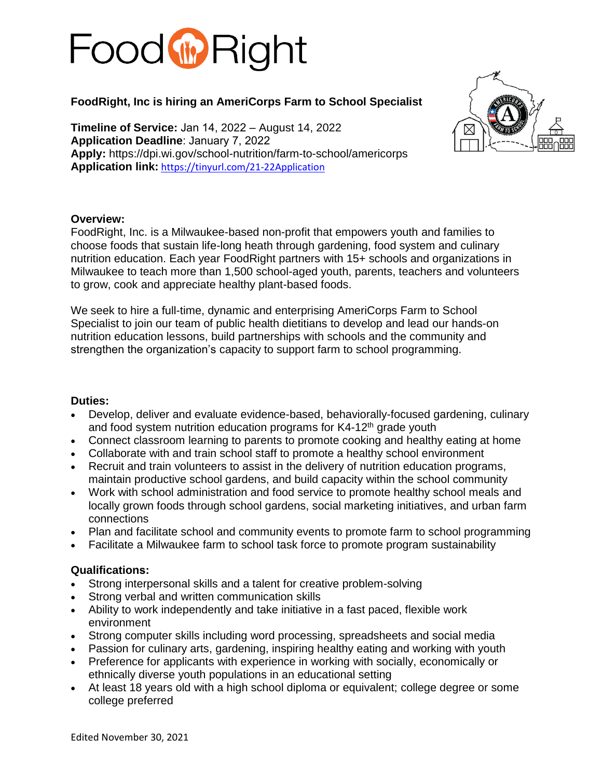# Food **W** Right

## **FoodRight, Inc is hiring an AmeriCorps Farm to School Specialist**

**Timeline of Service:** Jan 14, 2022 – August 14, 2022 **Application Deadline**: January 7, 2022 **Apply:** https://dpi.wi.gov/school-nutrition/farm-to-school/americorps **Application link:** <https://tinyurl.com/21-22Application>



#### **Overview:**

FoodRight, Inc. is a Milwaukee-based non-profit that empowers youth and families to choose foods that sustain life-long heath through gardening, food system and culinary nutrition education. Each year FoodRight partners with 15+ schools and organizations in Milwaukee to teach more than 1,500 school-aged youth, parents, teachers and volunteers to grow, cook and appreciate healthy plant-based foods.

We seek to hire a full-time, dynamic and enterprising AmeriCorps Farm to School Specialist to join our team of public health dietitians to develop and lead our hands-on nutrition education lessons, build partnerships with schools and the community and strengthen the organization's capacity to support farm to school programming.

#### **Duties:**

- Develop, deliver and evaluate evidence-based, behaviorally-focused gardening, culinary and food system nutrition education programs for K4-12<sup>th</sup> grade youth
- Connect classroom learning to parents to promote cooking and healthy eating at home
- Collaborate with and train school staff to promote a healthy school environment
- Recruit and train volunteers to assist in the delivery of nutrition education programs, maintain productive school gardens, and build capacity within the school community
- Work with school administration and food service to promote healthy school meals and locally grown foods through school gardens, social marketing initiatives, and urban farm connections
- Plan and facilitate school and community events to promote farm to school programming
- Facilitate a Milwaukee farm to school task force to promote program sustainability

#### **Qualifications:**

- Strong interpersonal skills and a talent for creative problem-solving
- Strong verbal and written communication skills
- Ability to work independently and take initiative in a fast paced, flexible work environment
- Strong computer skills including word processing, spreadsheets and social media
- Passion for culinary arts, gardening, inspiring healthy eating and working with youth
- Preference for applicants with experience in working with socially, economically or ethnically diverse youth populations in an educational setting
- At least 18 years old with a high school diploma or equivalent; college degree or some college preferred